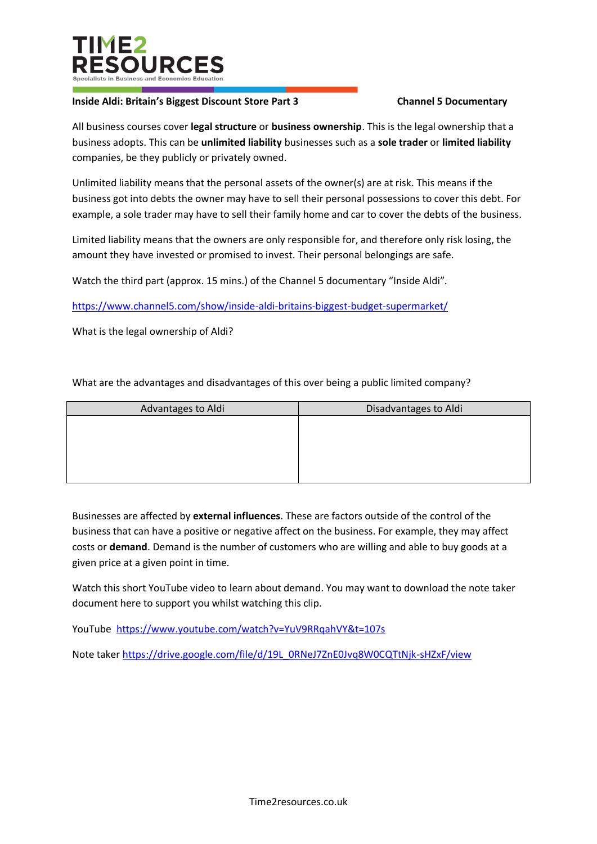

## **Inside Aldi: Britain's Biggest Discount Store Part 3 Channel 5 Documentary**

All business courses cover **legal structure** or **business ownership**. This is the legal ownership that a business adopts. This can be **unlimited liability** businesses such as a **sole trader** or **limited liability** companies, be they publicly or privately owned.

Unlimited liability means that the personal assets of the owner(s) are at risk. This means if the business got into debts the owner may have to sell their personal possessions to cover this debt. For example, a sole trader may have to sell their family home and car to cover the debts of the business.

Limited liability means that the owners are only responsible for, and therefore only risk losing, the amount they have invested or promised to invest. Their personal belongings are safe.

Watch the third part (approx. 15 mins.) of the Channel 5 documentary "Inside Aldi".

<https://www.channel5.com/show/inside-aldi-britains-biggest-budget-supermarket/>

What is the legal ownership of Aldi?

What are the advantages and disadvantages of this over being a public limited company?

| Advantages to Aldi | Disadvantages to Aldi |  |  |
|--------------------|-----------------------|--|--|
|                    |                       |  |  |
|                    |                       |  |  |
|                    |                       |  |  |
|                    |                       |  |  |
|                    |                       |  |  |

Businesses are affected by **external influences**. These are factors outside of the control of the business that can have a positive or negative affect on the business. For example, they may affect costs or **demand**. Demand is the number of customers who are willing and able to buy goods at a given price at a given point in time.

Watch this short YouTube video to learn about demand. You may want to download the note taker document here to support you whilst watching this clip.

YouTube <https://www.youtube.com/watch?v=YuV9RRqahVY&t=107s>

Note taker [https://drive.google.com/file/d/19L\\_0RNeJ7ZnE0Jvq8W0CQTtNjk-sHZxF/view](https://drive.google.com/file/d/19L_0RNeJ7ZnE0Jvq8W0CQTtNjk-sHZxF/view)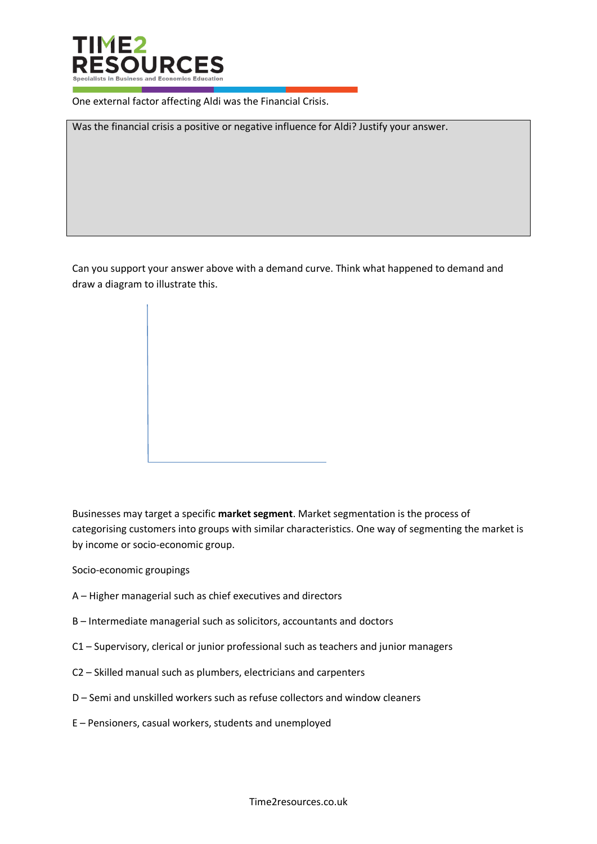

One external factor affecting Aldi was the Financial Crisis.

Was the financial crisis a positive or negative influence for Aldi? Justify your answer.

Can you support your answer above with a demand curve. Think what happened to demand and draw a diagram to illustrate this.

Businesses may target a specific **market segment**. Market segmentation is the process of categorising customers into groups with similar characteristics. One way of segmenting the market is by income or socio-economic group.

Socio-economic groupings

- A Higher managerial such as chief executives and directors
- B Intermediate managerial such as solicitors, accountants and doctors
- C1 Supervisory, clerical or junior professional such as teachers and junior managers
- C2 Skilled manual such as plumbers, electricians and carpenters
- D Semi and unskilled workers such as refuse collectors and window cleaners
- E Pensioners, casual workers, students and unemployed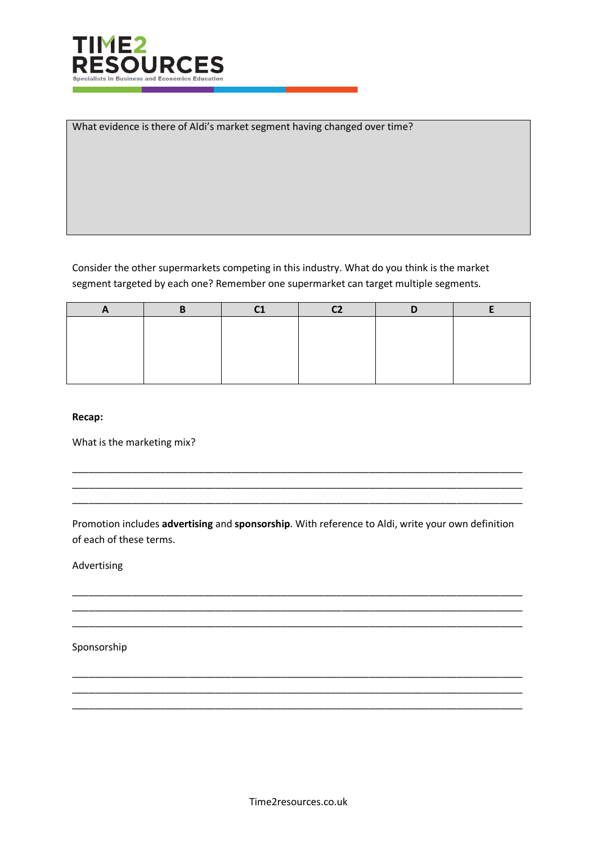

What evidence is there of Aldi's market segment having changed over time?

Consider the other supermarkets competing in this industry. What do you think is the market segment targeted by each one? Remember one supermarket can target multiple segments.

**Recap:**

What is the marketing mix?

Promotion includes **advertising** and **sponsorship**. With reference to Aldi, write your own definition of each of these terms.

\_\_\_\_\_\_\_\_\_\_\_\_\_\_\_\_\_\_\_\_\_\_\_\_\_\_\_\_\_\_\_\_\_\_\_\_\_\_\_\_\_\_\_\_\_\_\_\_\_\_\_\_\_\_\_\_\_\_\_\_\_\_\_\_\_\_\_\_\_\_\_\_\_\_\_\_\_\_\_\_\_\_ \_\_\_\_\_\_\_\_\_\_\_\_\_\_\_\_\_\_\_\_\_\_\_\_\_\_\_\_\_\_\_\_\_\_\_\_\_\_\_\_\_\_\_\_\_\_\_\_\_\_\_\_\_\_\_\_\_\_\_\_\_\_\_\_\_\_\_\_\_\_\_\_\_\_\_\_\_\_\_\_\_\_ \_\_\_\_\_\_\_\_\_\_\_\_\_\_\_\_\_\_\_\_\_\_\_\_\_\_\_\_\_\_\_\_\_\_\_\_\_\_\_\_\_\_\_\_\_\_\_\_\_\_\_\_\_\_\_\_\_\_\_\_\_\_\_\_\_\_\_\_\_\_\_\_\_\_\_\_\_\_\_\_\_\_

\_\_\_\_\_\_\_\_\_\_\_\_\_\_\_\_\_\_\_\_\_\_\_\_\_\_\_\_\_\_\_\_\_\_\_\_\_\_\_\_\_\_\_\_\_\_\_\_\_\_\_\_\_\_\_\_\_\_\_\_\_\_\_\_\_\_\_\_\_\_\_\_\_\_\_\_\_\_\_\_\_\_ \_\_\_\_\_\_\_\_\_\_\_\_\_\_\_\_\_\_\_\_\_\_\_\_\_\_\_\_\_\_\_\_\_\_\_\_\_\_\_\_\_\_\_\_\_\_\_\_\_\_\_\_\_\_\_\_\_\_\_\_\_\_\_\_\_\_\_\_\_\_\_\_\_\_\_\_\_\_\_\_\_\_ \_\_\_\_\_\_\_\_\_\_\_\_\_\_\_\_\_\_\_\_\_\_\_\_\_\_\_\_\_\_\_\_\_\_\_\_\_\_\_\_\_\_\_\_\_\_\_\_\_\_\_\_\_\_\_\_\_\_\_\_\_\_\_\_\_\_\_\_\_\_\_\_\_\_\_\_\_\_\_\_\_\_

\_\_\_\_\_\_\_\_\_\_\_\_\_\_\_\_\_\_\_\_\_\_\_\_\_\_\_\_\_\_\_\_\_\_\_\_\_\_\_\_\_\_\_\_\_\_\_\_\_\_\_\_\_\_\_\_\_\_\_\_\_\_\_\_\_\_\_\_\_\_\_\_\_\_\_\_\_\_\_\_\_\_ \_\_\_\_\_\_\_\_\_\_\_\_\_\_\_\_\_\_\_\_\_\_\_\_\_\_\_\_\_\_\_\_\_\_\_\_\_\_\_\_\_\_\_\_\_\_\_\_\_\_\_\_\_\_\_\_\_\_\_\_\_\_\_\_\_\_\_\_\_\_\_\_\_\_\_\_\_\_\_\_\_\_ \_\_\_\_\_\_\_\_\_\_\_\_\_\_\_\_\_\_\_\_\_\_\_\_\_\_\_\_\_\_\_\_\_\_\_\_\_\_\_\_\_\_\_\_\_\_\_\_\_\_\_\_\_\_\_\_\_\_\_\_\_\_\_\_\_\_\_\_\_\_\_\_\_\_\_\_\_\_\_\_\_\_

Advertising

Sponsorship

Time2resources.co.uk